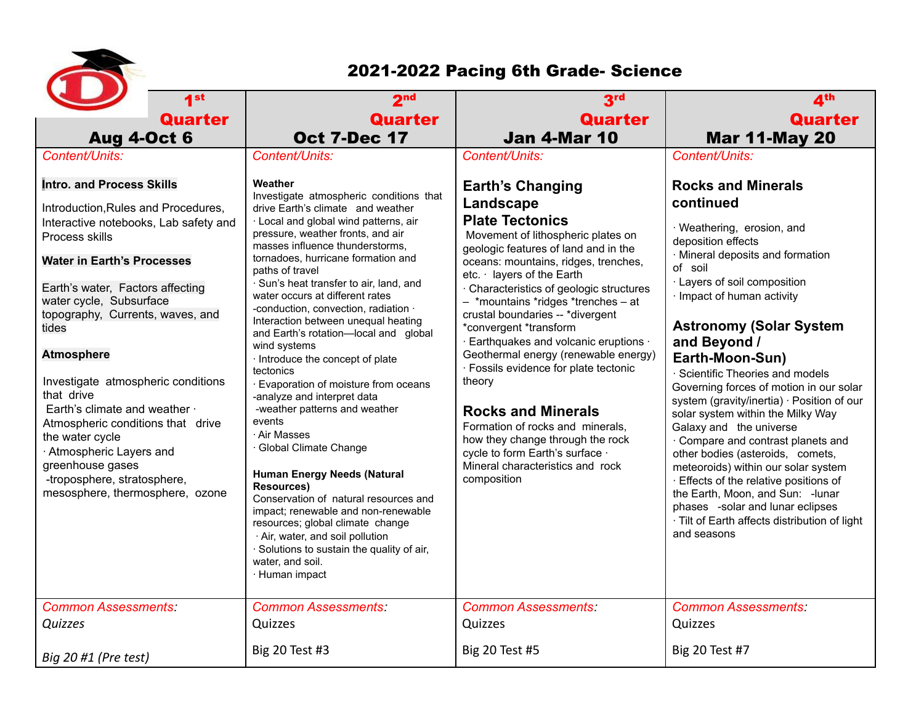

## 2021-2022 Pacing 6th Grade- Science

| 1 <sub>st</sub>                                                                                                                                                                                                                                                                                                                                                                                                                                                                                                                                                         | 2 <sub>nd</sub>                                                                                                                                                                                                                                                                                                                                                                                                                                                                                                                                                                                                                                                                                                                                                                                                                                                                                                                                                                                               | 3 <sup>rd</sup>                                                                                                                                                                                                                                                                                                                                                                                                                                                                                                                                                                                                                                                                                     | 4 <sup>th</sup>                                                                                                                                                                                                                                                                                                                                                                                                                                                                                                                                                                                                                                                                                                                                                             |
|-------------------------------------------------------------------------------------------------------------------------------------------------------------------------------------------------------------------------------------------------------------------------------------------------------------------------------------------------------------------------------------------------------------------------------------------------------------------------------------------------------------------------------------------------------------------------|---------------------------------------------------------------------------------------------------------------------------------------------------------------------------------------------------------------------------------------------------------------------------------------------------------------------------------------------------------------------------------------------------------------------------------------------------------------------------------------------------------------------------------------------------------------------------------------------------------------------------------------------------------------------------------------------------------------------------------------------------------------------------------------------------------------------------------------------------------------------------------------------------------------------------------------------------------------------------------------------------------------|-----------------------------------------------------------------------------------------------------------------------------------------------------------------------------------------------------------------------------------------------------------------------------------------------------------------------------------------------------------------------------------------------------------------------------------------------------------------------------------------------------------------------------------------------------------------------------------------------------------------------------------------------------------------------------------------------------|-----------------------------------------------------------------------------------------------------------------------------------------------------------------------------------------------------------------------------------------------------------------------------------------------------------------------------------------------------------------------------------------------------------------------------------------------------------------------------------------------------------------------------------------------------------------------------------------------------------------------------------------------------------------------------------------------------------------------------------------------------------------------------|
| Quarter                                                                                                                                                                                                                                                                                                                                                                                                                                                                                                                                                                 | <b>Quarter</b>                                                                                                                                                                                                                                                                                                                                                                                                                                                                                                                                                                                                                                                                                                                                                                                                                                                                                                                                                                                                | <b>Quarter</b>                                                                                                                                                                                                                                                                                                                                                                                                                                                                                                                                                                                                                                                                                      | <b>Quarter</b>                                                                                                                                                                                                                                                                                                                                                                                                                                                                                                                                                                                                                                                                                                                                                              |
| <b>Aug 4-Oct 6</b>                                                                                                                                                                                                                                                                                                                                                                                                                                                                                                                                                      | <b>Oct 7-Dec 17</b>                                                                                                                                                                                                                                                                                                                                                                                                                                                                                                                                                                                                                                                                                                                                                                                                                                                                                                                                                                                           | <b>Jan 4-Mar 10</b>                                                                                                                                                                                                                                                                                                                                                                                                                                                                                                                                                                                                                                                                                 | <b>Mar 11-May 20</b>                                                                                                                                                                                                                                                                                                                                                                                                                                                                                                                                                                                                                                                                                                                                                        |
| Content/Units:                                                                                                                                                                                                                                                                                                                                                                                                                                                                                                                                                          | Content/Units:                                                                                                                                                                                                                                                                                                                                                                                                                                                                                                                                                                                                                                                                                                                                                                                                                                                                                                                                                                                                | Content/Units:                                                                                                                                                                                                                                                                                                                                                                                                                                                                                                                                                                                                                                                                                      | Content/Units:                                                                                                                                                                                                                                                                                                                                                                                                                                                                                                                                                                                                                                                                                                                                                              |
| <b>Intro. and Process Skills</b><br>Introduction, Rules and Procedures,<br>Interactive notebooks, Lab safety and<br>Process skills<br><b>Water in Earth's Processes</b><br>Earth's water, Factors affecting<br>water cycle, Subsurface<br>topography, Currents, waves, and<br>tides<br><b>Atmosphere</b><br>Investigate atmospheric conditions<br>that drive<br>Earth's climate and weather ·<br>Atmospheric conditions that drive<br>the water cycle<br>· Atmospheric Layers and<br>greenhouse gases<br>-troposphere, stratosphere,<br>mesosphere, thermosphere, ozone | Weather<br>Investigate atmospheric conditions that<br>drive Earth's climate and weather<br>· Local and global wind patterns, air<br>pressure, weather fronts, and air<br>masses influence thunderstorms,<br>tornadoes, hurricane formation and<br>paths of travel<br>· Sun's heat transfer to air, land, and<br>water occurs at different rates<br>-conduction, convection, radiation ·<br>Interaction between unequal heating<br>and Earth's rotation-local and global<br>wind systems<br>· Introduce the concept of plate<br>tectonics<br>· Evaporation of moisture from oceans<br>-analyze and interpret data<br>-weather patterns and weather<br>events<br>· Air Masses<br>· Global Climate Change<br><b>Human Energy Needs (Natural</b><br><b>Resources)</b><br>Conservation of natural resources and<br>impact; renewable and non-renewable<br>resources; global climate change<br>· Air, water, and soil pollution<br>· Solutions to sustain the quality of air,<br>water, and soil.<br>· Human impact | <b>Earth's Changing</b><br>Landscape<br><b>Plate Tectonics</b><br>Movement of lithospheric plates on<br>geologic features of land and in the<br>oceans: mountains, ridges, trenches,<br>etc. · layers of the Earth<br>· Characteristics of geologic structures<br>- *mountains *ridges *trenches - at<br>crustal boundaries -- *divergent<br>*convergent *transform<br>· Earthquakes and volcanic eruptions ·<br>Geothermal energy (renewable energy)<br>· Fossils evidence for plate tectonic<br>theory<br><b>Rocks and Minerals</b><br>Formation of rocks and minerals,<br>how they change through the rock<br>cycle to form Earth's surface .<br>Mineral characteristics and rock<br>composition | <b>Rocks and Minerals</b><br>continued<br>· Weathering, erosion, and<br>deposition effects<br>· Mineral deposits and formation<br>of soil<br>· Layers of soil composition<br>· Impact of human activity<br><b>Astronomy (Solar System</b><br>and Beyond /<br>Earth-Moon-Sun)<br>· Scientific Theories and models<br>Governing forces of motion in our solar<br>system (gravity/inertia) · Position of our<br>solar system within the Milky Way<br>Galaxy and the universe<br>Compare and contrast planets and<br>other bodies (asteroids, comets,<br>meteoroids) within our solar system<br>· Effects of the relative positions of<br>the Earth, Moon, and Sun: - lunar<br>phases -solar and lunar eclipses<br>· Tilt of Earth affects distribution of light<br>and seasons |
| <b>Common Assessments:</b><br>Quizzes                                                                                                                                                                                                                                                                                                                                                                                                                                                                                                                                   | <b>Common Assessments:</b><br>Quizzes<br><b>Big 20 Test #3</b>                                                                                                                                                                                                                                                                                                                                                                                                                                                                                                                                                                                                                                                                                                                                                                                                                                                                                                                                                | <b>Common Assessments:</b><br>Quizzes<br><b>Big 20 Test #5</b>                                                                                                                                                                                                                                                                                                                                                                                                                                                                                                                                                                                                                                      | <b>Common Assessments:</b><br>Quizzes<br><b>Big 20 Test #7</b>                                                                                                                                                                                                                                                                                                                                                                                                                                                                                                                                                                                                                                                                                                              |
| Big 20 #1 (Pre test)                                                                                                                                                                                                                                                                                                                                                                                                                                                                                                                                                    |                                                                                                                                                                                                                                                                                                                                                                                                                                                                                                                                                                                                                                                                                                                                                                                                                                                                                                                                                                                                               |                                                                                                                                                                                                                                                                                                                                                                                                                                                                                                                                                                                                                                                                                                     |                                                                                                                                                                                                                                                                                                                                                                                                                                                                                                                                                                                                                                                                                                                                                                             |